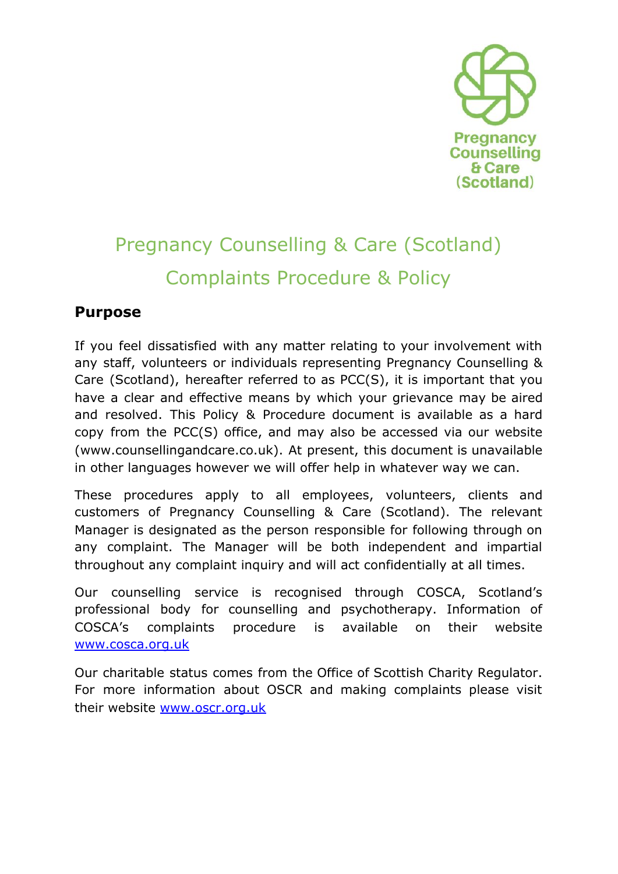

# Pregnancy Counselling & Care (Scotland) Complaints Procedure & Policy

## **Purpose**

If you feel dissatisfied with any matter relating to your involvement with any staff, volunteers or individuals representing Pregnancy Counselling & Care (Scotland), hereafter referred to as PCC(S), it is important that you have a clear and effective means by which your grievance may be aired and resolved. This Policy & Procedure document is available as a hard copy from the PCC(S) office, and may also be accessed via our website (www.counsellingandcare.co.uk). At present, this document is unavailable in other languages however we will offer help in whatever way we can.

These procedures apply to all employees, volunteers, clients and customers of Pregnancy Counselling & Care (Scotland). The relevant Manager is designated as the person responsible for following through on any complaint. The Manager will be both independent and impartial throughout any complaint inquiry and will act confidentially at all times.

Our counselling service is recognised through COSCA, Scotland's professional body for counselling and psychotherapy. Information of COSCA's complaints procedure is available on their website [www.cosca.org.uk](http://www.cosca.org.uk/)

Our charitable status comes from the Office of Scottish Charity Regulator. For more information about OSCR and making complaints please visit their website [www.oscr.org.uk](http://www.oscr.org.uk/)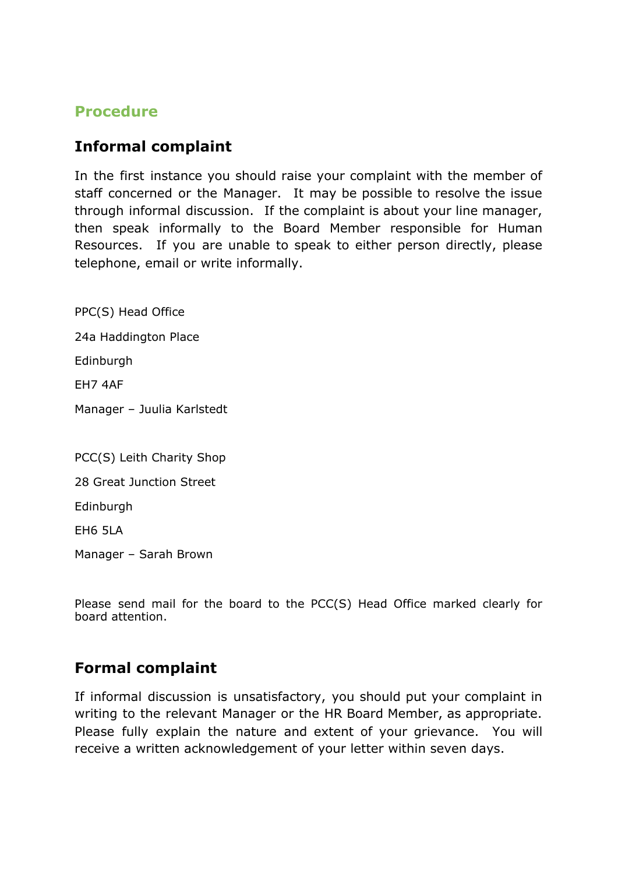### **Procedure**

#### **Informal complaint**

In the first instance you should raise your complaint with the member of staff concerned or the Manager. It may be possible to resolve the issue through informal discussion. If the complaint is about your line manager, then speak informally to the Board Member responsible for Human Resources. If you are unable to speak to either person directly, please telephone, email or write informally.

PPC(S) Head Office

24a Haddington Place

Edinburgh

EH7 4AF

Manager – Juulia Karlstedt

PCC(S) Leith Charity Shop 28 Great Junction Street

Edinburgh

EH6 5LA

Manager – Sarah Brown

Please send mail for the board to the PCC(S) Head Office marked clearly for board attention.

## **Formal complaint**

If informal discussion is unsatisfactory, you should put your complaint in writing to the relevant Manager or the HR Board Member, as appropriate. Please fully explain the nature and extent of your grievance. You will receive a written acknowledgement of your letter within seven days.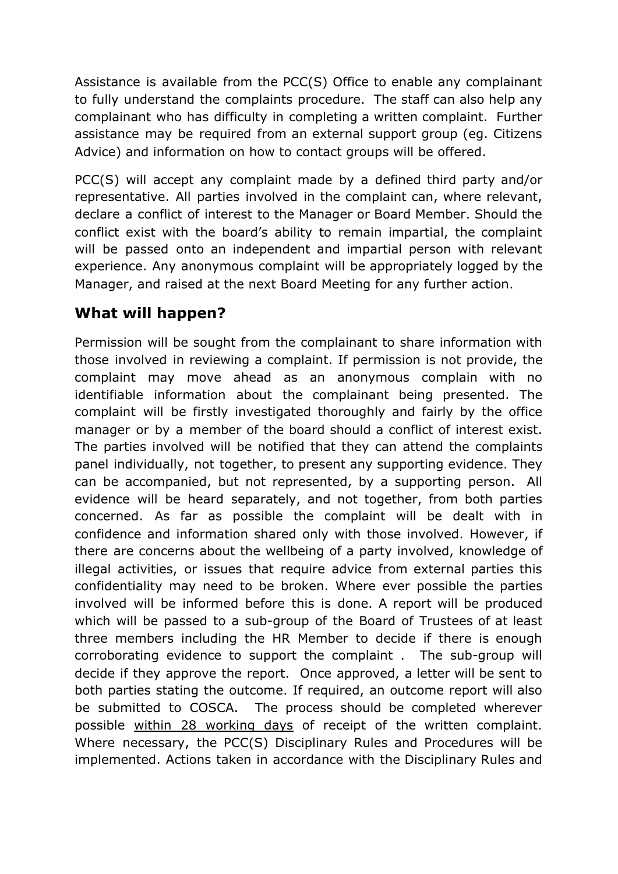Assistance is available from the PCC(S) Office to enable any complainant to fully understand the complaints procedure. The staff can also help any complainant who has difficulty in completing a written complaint. Further assistance may be required from an external support group (eg. Citizens Advice) and information on how to contact groups will be offered.

PCC(S) will accept any complaint made by a defined third party and/or representative. All parties involved in the complaint can, where relevant, declare a conflict of interest to the Manager or Board Member. Should the conflict exist with the board's ability to remain impartial, the complaint will be passed onto an independent and impartial person with relevant experience. Any anonymous complaint will be appropriately logged by the Manager, and raised at the next Board Meeting for any further action.

# **What will happen?**

Permission will be sought from the complainant to share information with those involved in reviewing a complaint. If permission is not provide, the complaint may move ahead as an anonymous complain with no identifiable information about the complainant being presented. The complaint will be firstly investigated thoroughly and fairly by the office manager or by a member of the board should a conflict of interest exist. The parties involved will be notified that they can attend the complaints panel individually, not together, to present any supporting evidence. They can be accompanied, but not represented, by a supporting person. All evidence will be heard separately, and not together, from both parties concerned. As far as possible the complaint will be dealt with in confidence and information shared only with those involved. However, if there are concerns about the wellbeing of a party involved, knowledge of illegal activities, or issues that require advice from external parties this confidentiality may need to be broken. Where ever possible the parties involved will be informed before this is done. A report will be produced which will be passed to a sub-group of the Board of Trustees of at least three members including the HR Member to decide if there is enough corroborating evidence to support the complaint . The sub-group will decide if they approve the report. Once approved, a letter will be sent to both parties stating the outcome. If required, an outcome report will also be submitted to COSCA. The process should be completed wherever possible within 28 working days of receipt of the written complaint. Where necessary, the PCC(S) Disciplinary Rules and Procedures will be implemented. Actions taken in accordance with the Disciplinary Rules and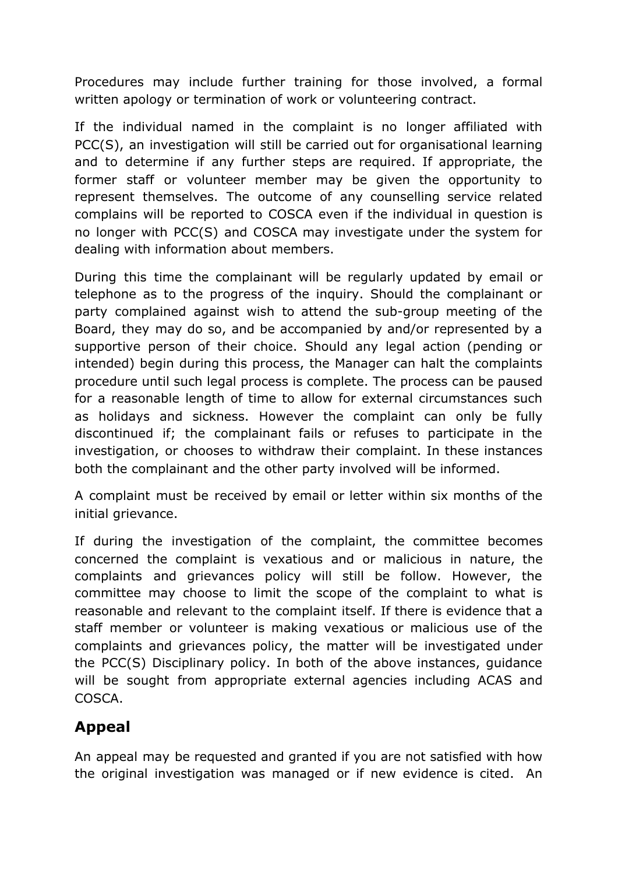Procedures may include further training for those involved, a formal written apology or termination of work or volunteering contract.

If the individual named in the complaint is no longer affiliated with PCC(S), an investigation will still be carried out for organisational learning and to determine if any further steps are required. If appropriate, the former staff or volunteer member may be given the opportunity to represent themselves. The outcome of any counselling service related complains will be reported to COSCA even if the individual in question is no longer with PCC(S) and COSCA may investigate under the system for dealing with information about members.

During this time the complainant will be regularly updated by email or telephone as to the progress of the inquiry. Should the complainant or party complained against wish to attend the sub-group meeting of the Board, they may do so, and be accompanied by and/or represented by a supportive person of their choice. Should any legal action (pending or intended) begin during this process, the Manager can halt the complaints procedure until such legal process is complete. The process can be paused for a reasonable length of time to allow for external circumstances such as holidays and sickness. However the complaint can only be fully discontinued if; the complainant fails or refuses to participate in the investigation, or chooses to withdraw their complaint. In these instances both the complainant and the other party involved will be informed.

A complaint must be received by email or letter within six months of the initial grievance.

If during the investigation of the complaint, the committee becomes concerned the complaint is vexatious and or malicious in nature, the complaints and grievances policy will still be follow. However, the committee may choose to limit the scope of the complaint to what is reasonable and relevant to the complaint itself. If there is evidence that a staff member or volunteer is making vexatious or malicious use of the complaints and grievances policy, the matter will be investigated under the PCC(S) Disciplinary policy. In both of the above instances, guidance will be sought from appropriate external agencies including ACAS and COSCA.

# **Appeal**

An appeal may be requested and granted if you are not satisfied with how the original investigation was managed or if new evidence is cited. An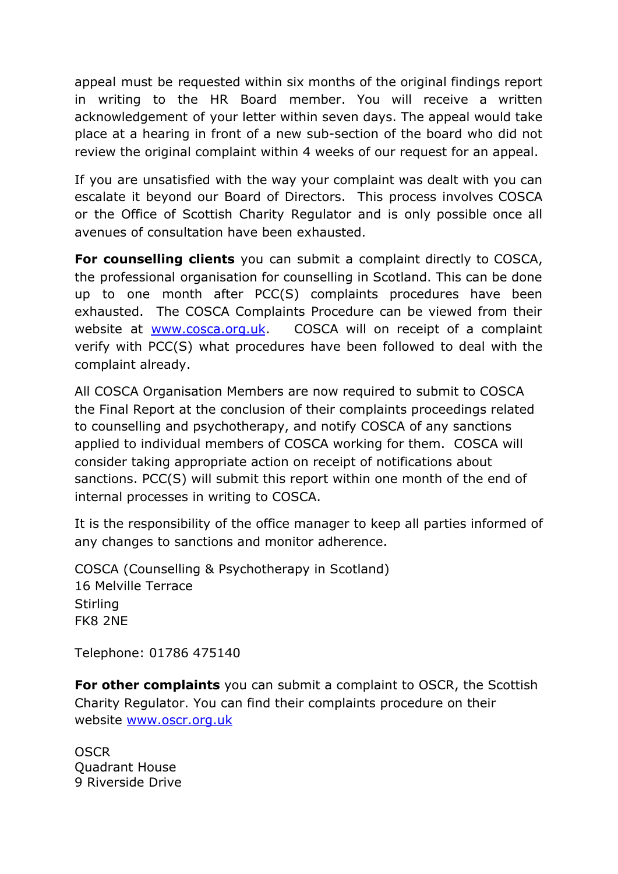appeal must be requested within six months of the original findings report in writing to the HR Board member. You will receive a written acknowledgement of your letter within seven days. The appeal would take place at a hearing in front of a new sub-section of the board who did not review the original complaint within 4 weeks of our request for an appeal.

If you are unsatisfied with the way your complaint was dealt with you can escalate it beyond our Board of Directors. This process involves COSCA or the Office of Scottish Charity Regulator and is only possible once all avenues of consultation have been exhausted.

**For counselling clients** you can submit a complaint directly to COSCA, the professional organisation for counselling in Scotland. This can be done up to one month after PCC(S) complaints procedures have been exhausted. The COSCA Complaints Procedure can be viewed from their website at [www.cosca.org.uk](http://www.cosca.org.uk/). COSCA will on receipt of a complaint verify with PCC(S) what procedures have been followed to deal with the complaint already.

All COSCA Organisation Members are now required to submit to COSCA the Final Report at the conclusion of their complaints proceedings related to counselling and psychotherapy, and notify COSCA of any sanctions applied to individual members of COSCA working for them. COSCA will consider taking appropriate action on receipt of notifications about sanctions. PCC(S) will submit this report within one month of the end of internal processes in writing to COSCA.

It is the responsibility of the office manager to keep all parties informed of any changes to sanctions and monitor adherence.

COSCA (Counselling & Psychotherapy in Scotland) 16 Melville Terrace Stirling FK8 2NE

Telephone: 01786 475140

**For other complaints** you can submit a complaint to OSCR, the Scottish Charity Regulator. You can find their complaints procedure on their website [www.oscr.org.uk](http://www.oscr.org.uk/)

**OSCR** Quadrant House 9 Riverside Drive